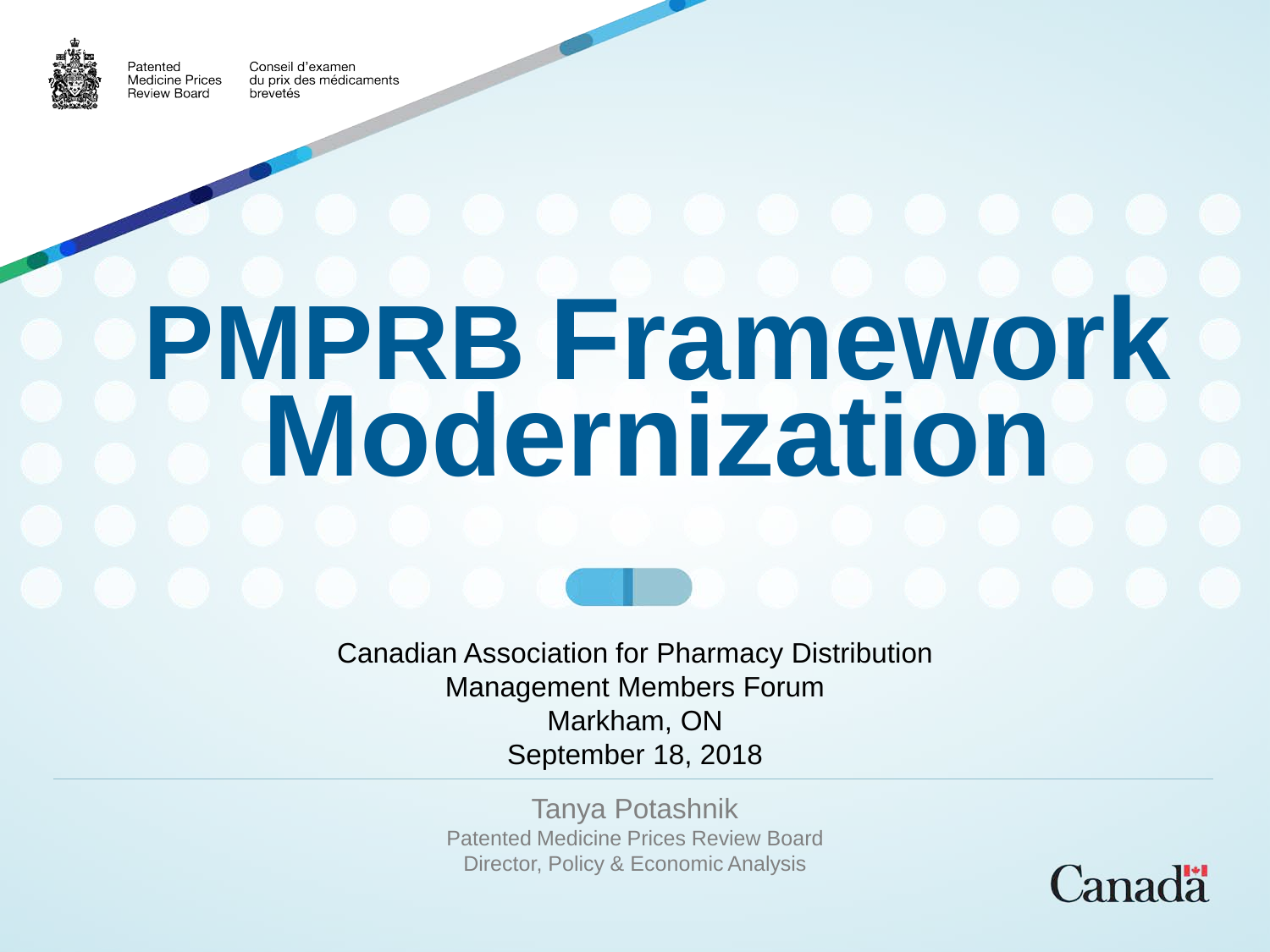

Patented

Conseil d'examen **Medicine Prices** du prix des médicaments Review Board brevetés

# **PMPRB Framework Modernization**

Canadian Association for Pharmacy Distribution Management Members Forum Markham, ON September 18, 2018

> Tanya Potashnik Patented Medicine Prices Review Board Director, Policy & Economic Analysis

Canada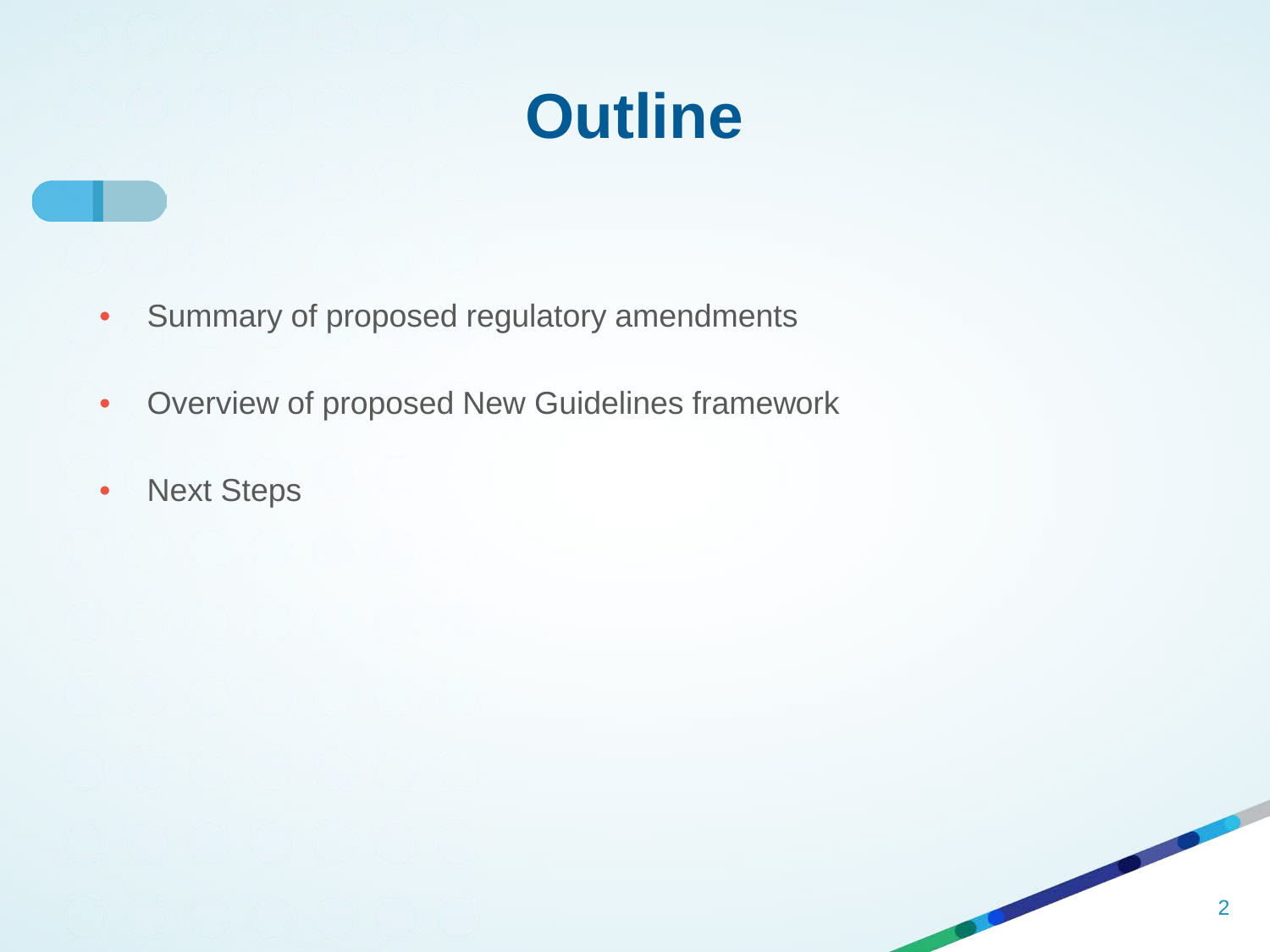# **Outline**

- Summary of proposed regulatory amendments
- Overview of proposed New Guidelines framework
- Next Steps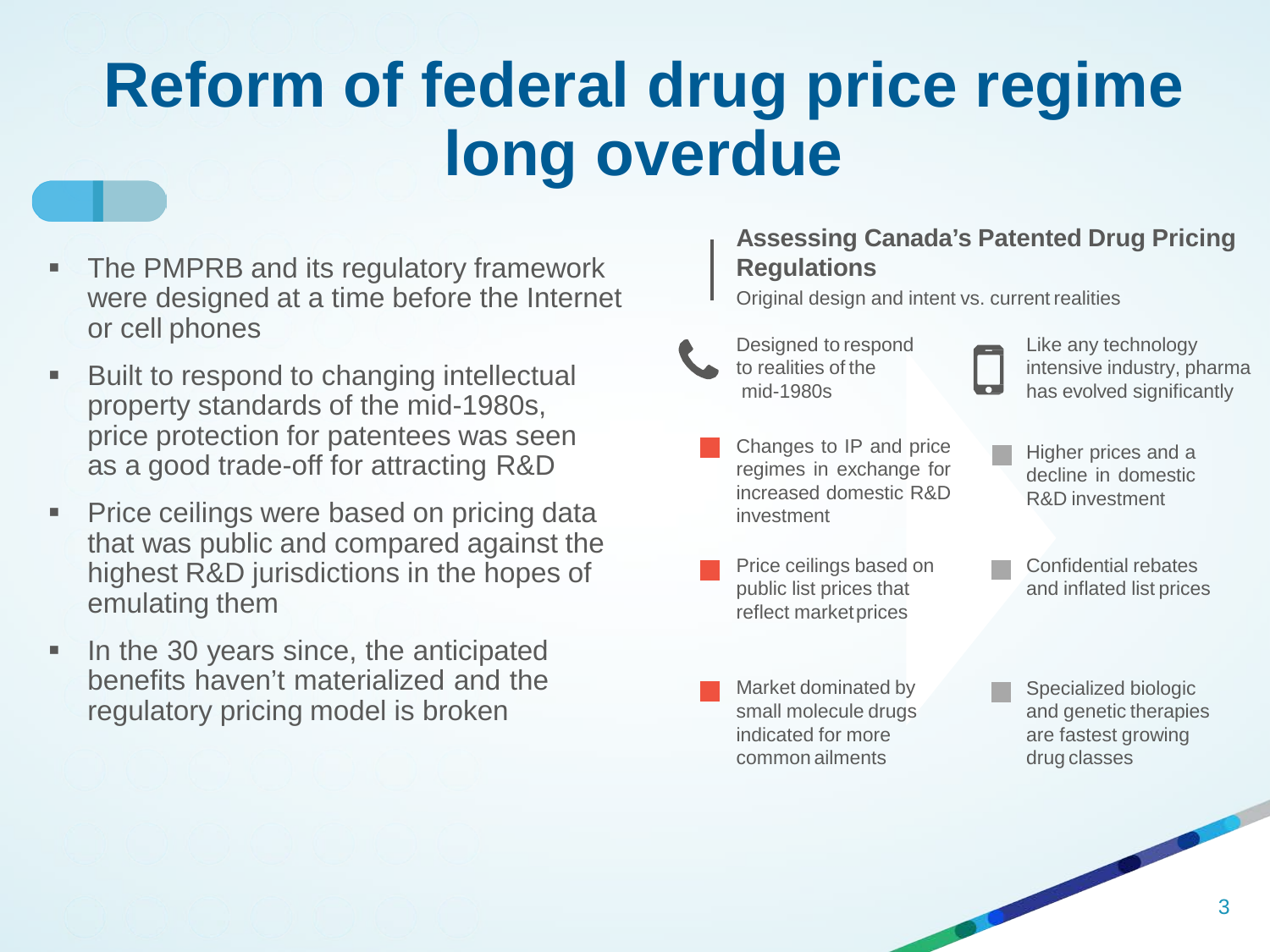# **Reform of federal drug price regime long overdue**

- The PMPRB and its regulatory framework were designed at a time before the Internet or cell phones
- Built to respond to changing intellectual property standards of the mid-1980s, price protection for patentees was seen as a good trade-off for attracting R&D
- Price ceilings were based on pricing data that was public and compared against the highest R&D jurisdictions in the hopes of emulating them
- In the 30 years since, the anticipated benefits haven't materialized and the regulatory pricing model is broken

#### **Assessing Canada's Patented Drug Pricing Regulations**

Original design and intent vs. current realities

- Designed to respond to realities of the mid-1980s
- - Like any technology intensive industry, pharma has evolved significantly
- Changes to IP and price regimes in exchange for increased domestic R&D investment
- Price ceilings based on public list prices that reflect marketprices
- Higher prices and a decline in domestic R&D investment
- Confidential rebates and inflated list prices

- Market dominated by small molecule drugs indicated for more common ailments
- Specialized biologic and genetic therapies are fastest growing drug classes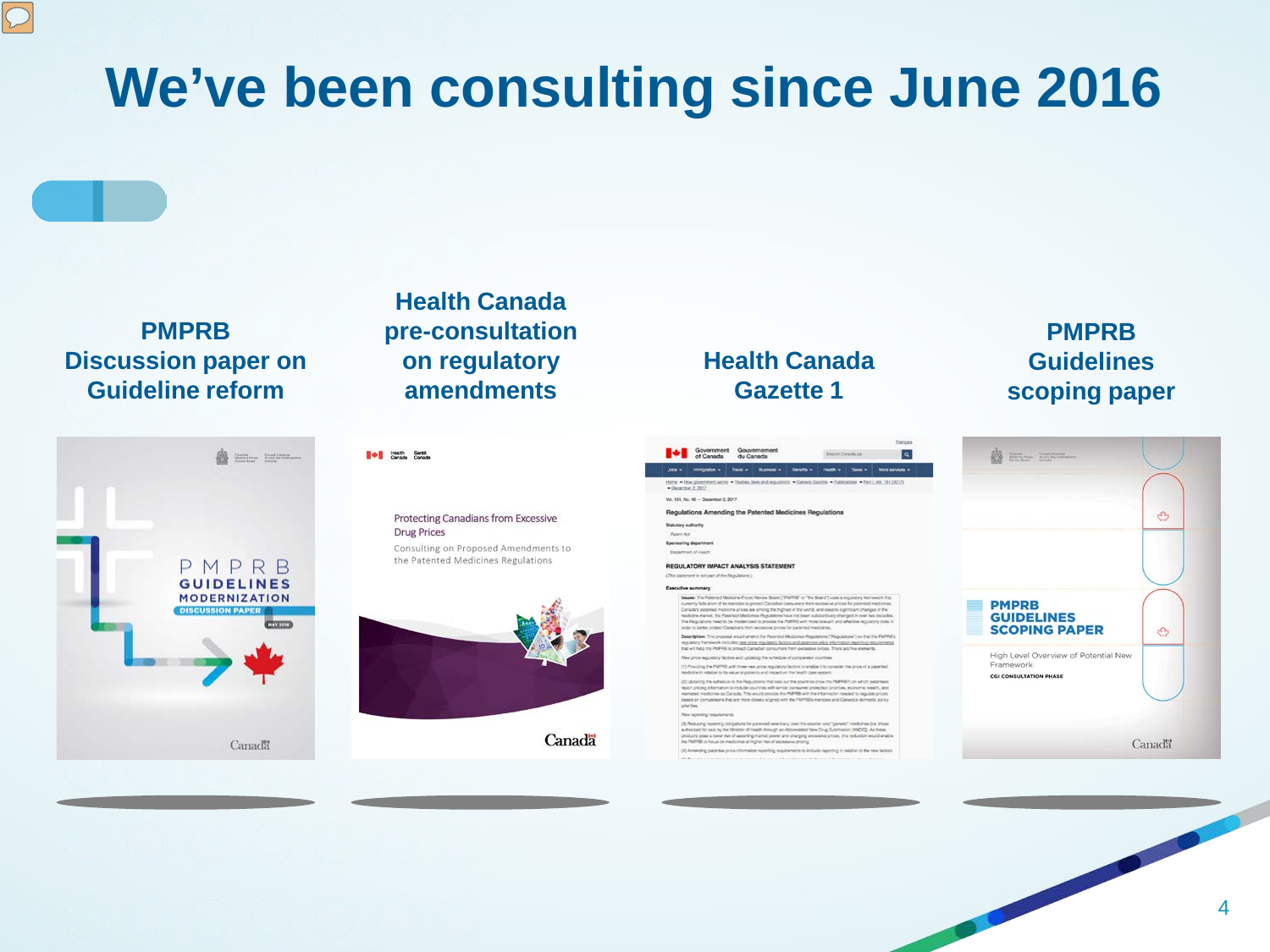# **We've been consulting since June 2016**

#### **PMPRB Discussion paper on Guideline reform**



#### **Health Canada pre-consultation on regulatory amendments**

#### **TO House Carata**

Protecting Canadians from Excessive **Drug Prices** Consulting on Proposed Amendments to the Patented Medicines Regulations



#### **Health Canada Gazette 1**

#### Government Gouvernement Jose | Immgason v | Tokov | Bushow v | Tokov | Indonésia | Tokov | Harre - How games Vol. 151, No. 48 - Departur 2, 2017 Regulations Amending the Patented Medicines Regulations Statutory authority Patent Act **Spersoring department** Department of REGULATORY IMPACT ANALYSIS STATEMENT (This statement is not part of the Regulation Esecutive summary leases: The Puterned Modicine Prices Review Board ("PAPRS" or "the Board") uses a reg numericy falls short of its mandials to protect Clendidei computers from excessive prices for passent medicine<br>Canadial passence medicine prices are among the fighest in the world, and cospital spitchart changes in the<br>rea we and codeting the schedule of comparator coordine officiency and price regulatory factors to enable it to o

of for sale by the Minister of Health through an Abbenviesed New Drug Submission (ANDEE). As these<br>yours a lower risk of asserting market power and changing excessive prices, this reduction would enable<br>Ril to focus on med

#### **PMPRB Guidelines scoping paper**

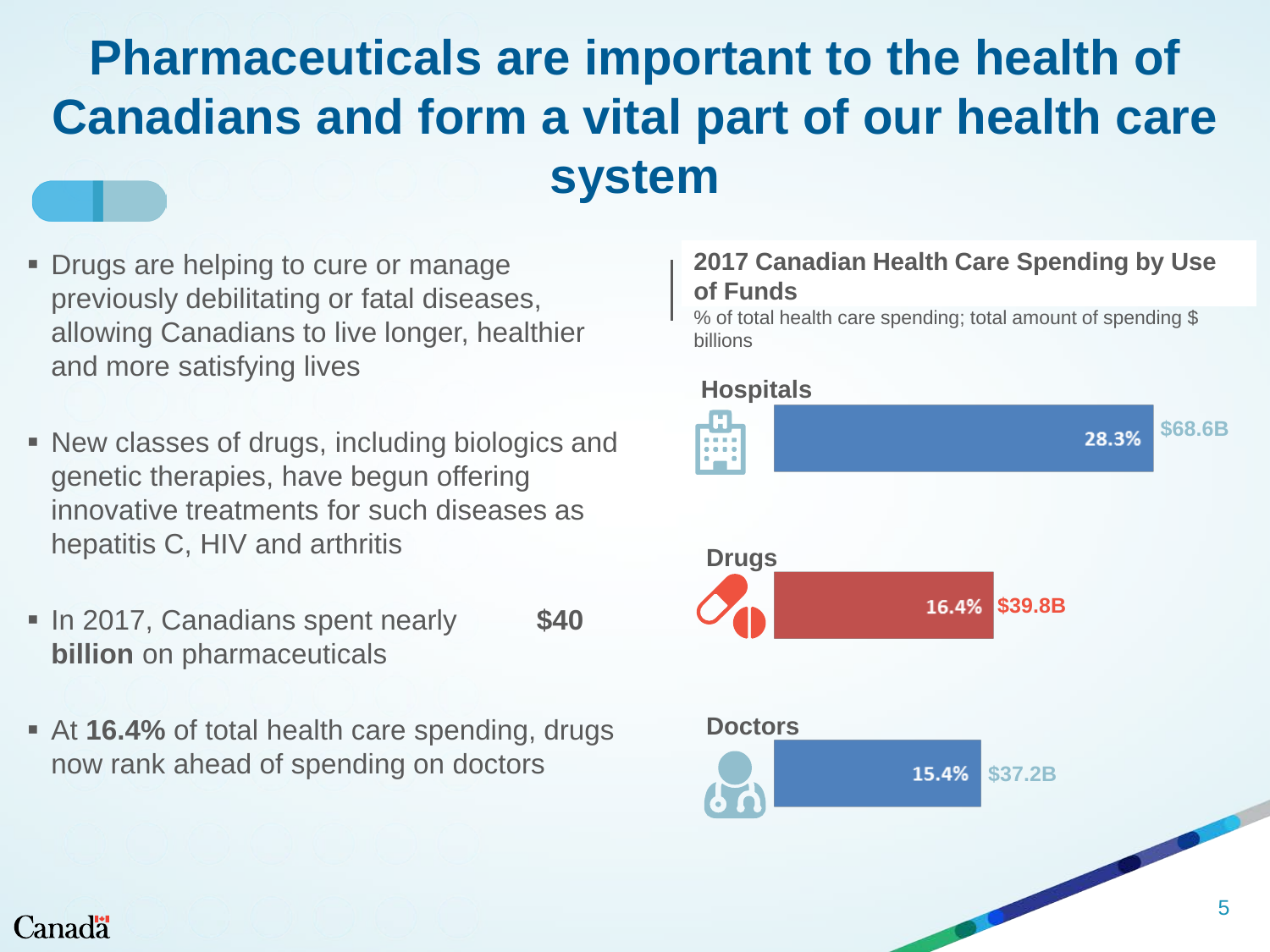# **Pharmaceuticals are important to the health of Canadians and form a vital part of our health care system**

- **Drugs are helping to cure or manage** previously debilitating or fatal diseases, allowing Canadians to live longer, healthier and more satisfying lives
- New classes of drugs, including biologics and genetic therapies, have begun offering innovative treatments for such diseases as hepatitis C, HIV and arthritis
- **In 2017, Canadians spent nearly \$40 billion** on pharmaceuticals
- At **16.4%** of total health care spending, drugs now rank ahead of spending on doctors

#### **2017 Canadian Health Care Spending by Use of Funds**

% of total health care spending; total amount of spending \$ billions



#### Canadä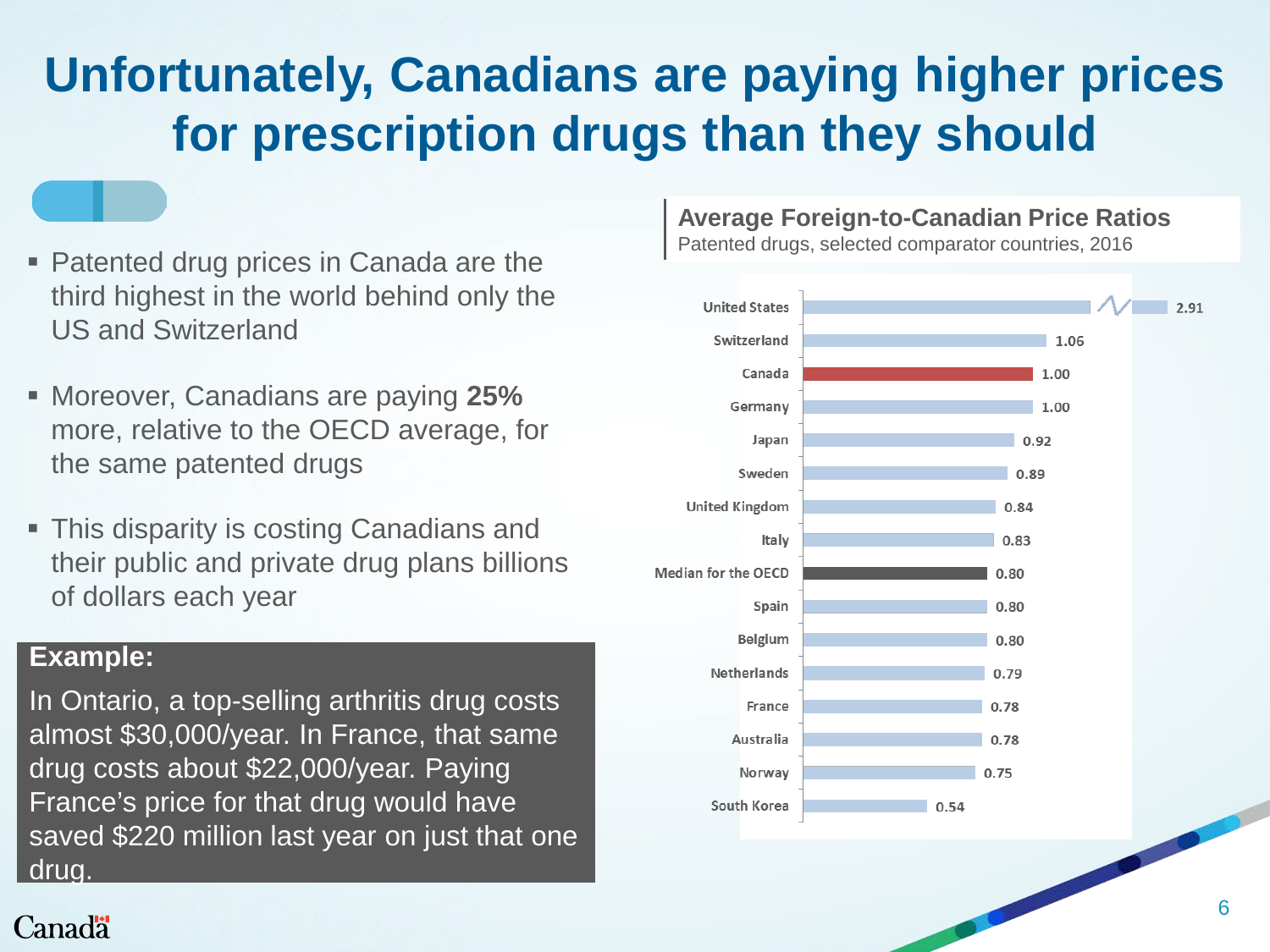# **Unfortunately, Canadians are paying higher prices for prescription drugs than they should**

- Patented drug prices in Canada are the third highest in the world behind only the US and Switzerland
- Moreover, Canadians are paying **25%** more, relative to the OECD average, for the same patented drugs
- This disparity is costing Canadians and their public and private drug plans billions of dollars each year

#### **Example:**

In Ontario, a top-selling arthritis drug costs almost \$30,000/year. In France, that same drug costs about \$22,000/year. Paying France's price for that drug would have saved \$220 million last year on just that one drug.

#### **Average Foreign-to-Canadian Price Ratios**

Patented drugs, selected comparator countries, 2016

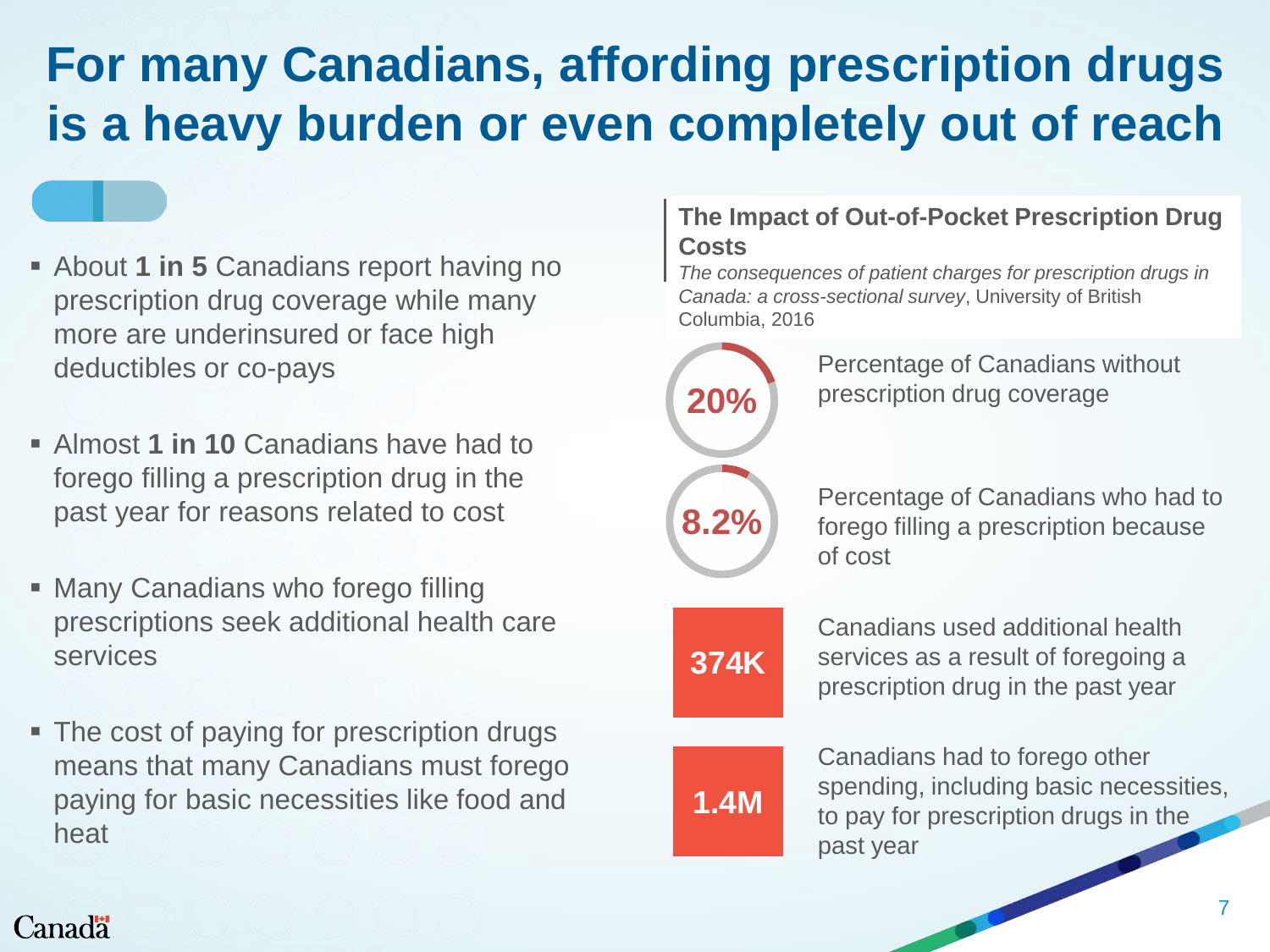# **For many Canadians, affording prescription drugs is a heavy burden or even completely out of reach**

- **Example 1 in 5 Canadians report having no** prescription drug coverage while many more are underinsured or face high deductibles or co-pays
- Almost **1 in 10** Canadians have had to forego filling a prescription drug in the past year for reasons related to cost
- Many Canadians who forego filling prescriptions seek additional health care services
- The cost of paying for prescription drugs means that many Canadians must forego paying for basic necessities like food and heat

#### **The Impact of Out-of-Pocket Prescription Drug Costs**

*The consequences of patient charges for prescription drugs in Canada: a cross-sectional survey*, University of British Columbia, 2016



Percentage of Canadians without prescription drug coverage

Percentage of Canadians who had to forego filling a prescription because of cost



Canadians used additional health services as a result of foregoing a prescription drug in the past year

# **1.4M**

Canadians had to forego other spending, including basic necessities, to pay for prescription drugs in the past year

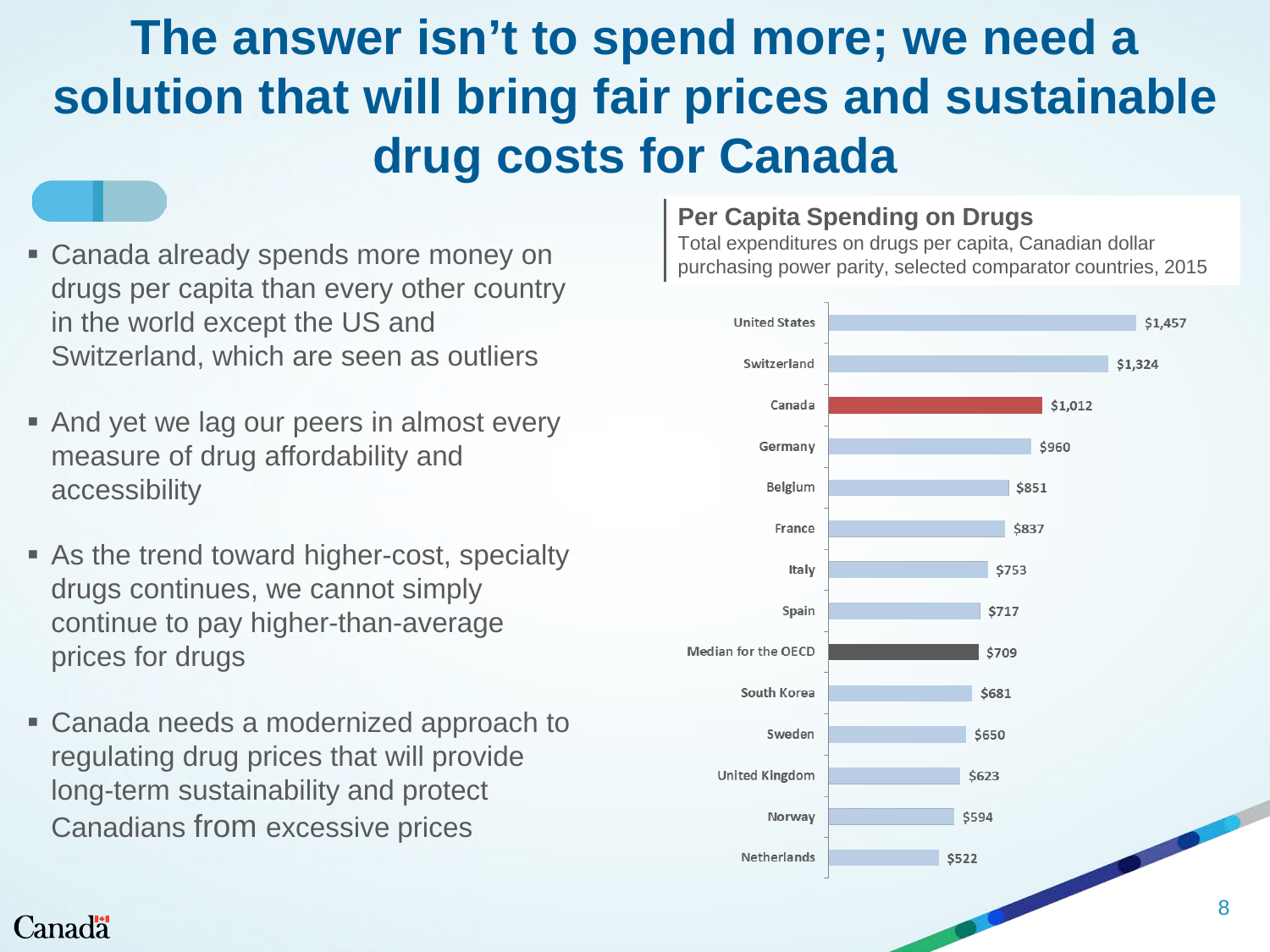# **The answer isn't to spend more; we need a solution that will bring fair prices and sustainable drug costs for Canada**

- **Example 2 Canada already spends more money on** drugs per capita than every other country in the world except the US and Switzerland, which are seen as outliers
- And yet we lag our peers in almost every measure of drug affordability and accessibility
- **As the trend toward higher-cost, specialty** drugs continues, we cannot simply continue to pay higher-than-average prices for drugs
- Canada needs a modernized approach to regulating drug prices that will provide long-term sustainability and protect Canadians from excessive prices

#### **Per Capita Spending on Drugs**

Total expenditures on drugs per capita, Canadian dollar purchasing power parity, selected comparator countries, 2015



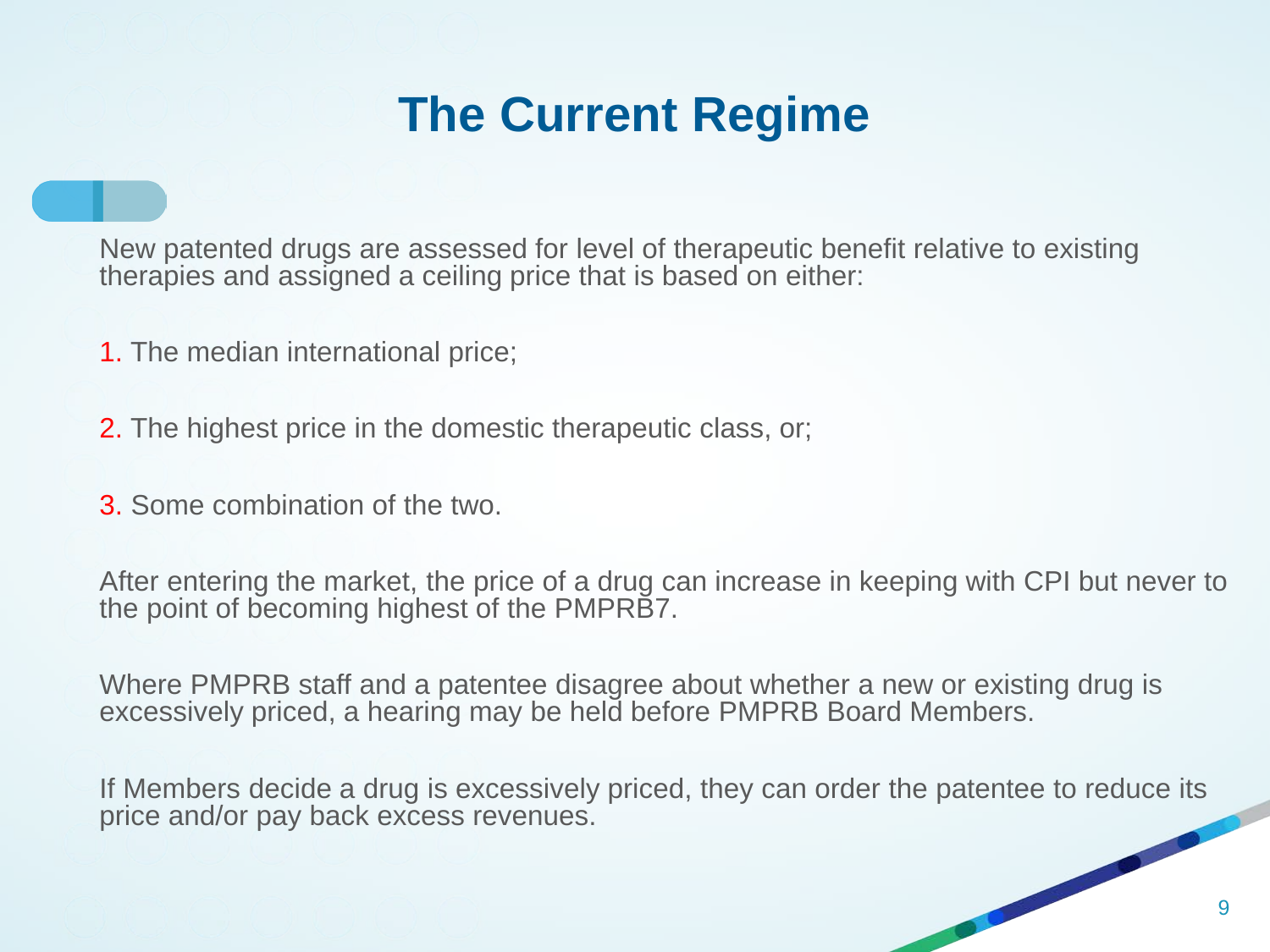### **The Current Regime**

New patented drugs are assessed for level of therapeutic benefit relative to existing therapies and assigned a ceiling price that is based on either:

- 1. The median international price;
- 2. The highest price in the domestic therapeutic class, or;
- 3. Some combination of the two.

After entering the market, the price of a drug can increase in keeping with CPI but never to the point of becoming highest of the PMPRB7.

Where PMPRB staff and a patentee disagree about whether a new or existing drug is excessively priced, a hearing may be held before PMPRB Board Members.

If Members decide a drug is excessively priced, they can order the patentee to reduce its price and/or pay back excess revenues.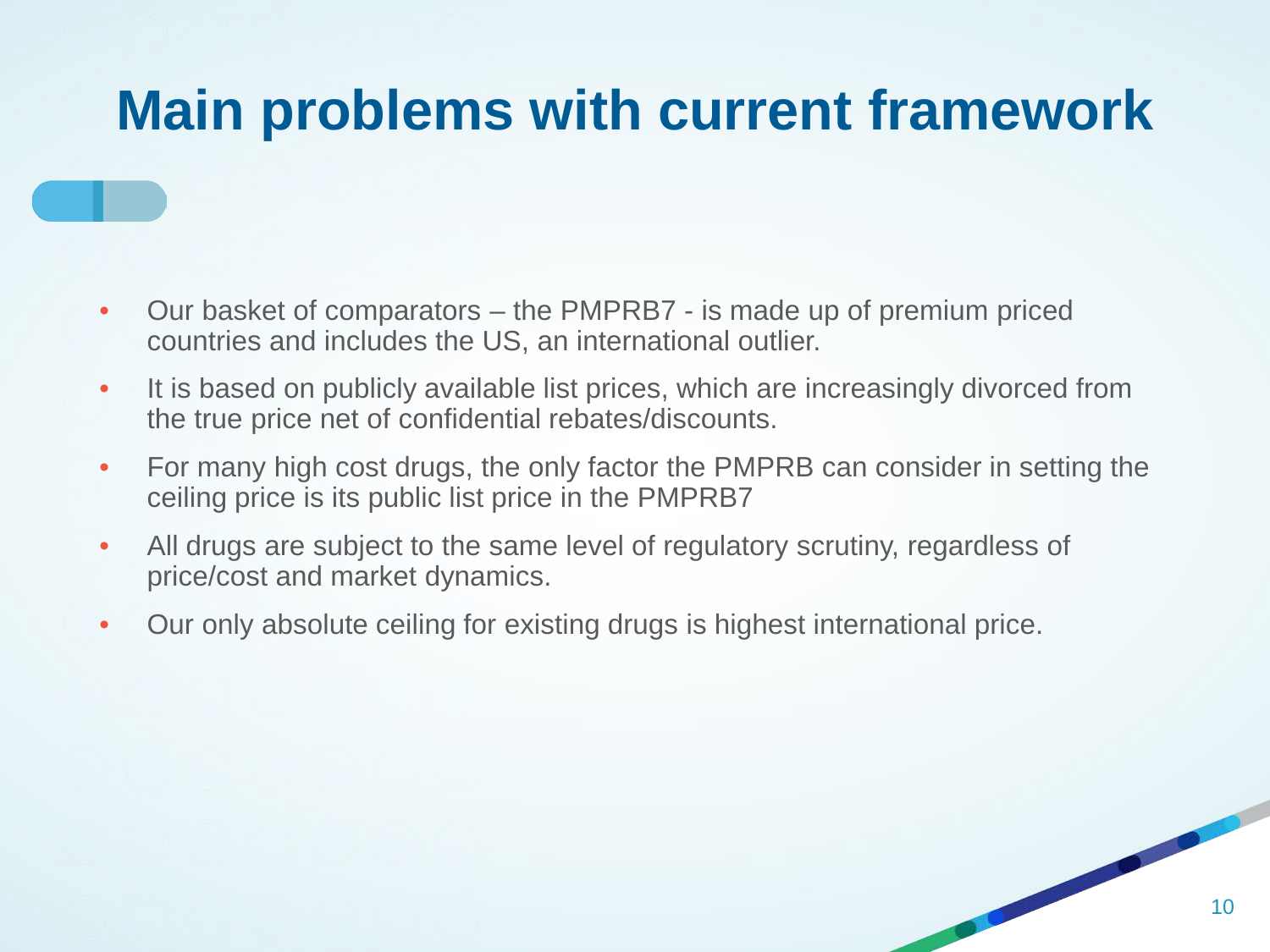# **Main problems with current framework**

- Our basket of comparators the PMPRB7 is made up of premium priced countries and includes the US, an international outlier.
- It is based on publicly available list prices, which are increasingly divorced from the true price net of confidential rebates/discounts.
- For many high cost drugs, the only factor the PMPRB can consider in setting the ceiling price is its public list price in the PMPRB7
- All drugs are subject to the same level of regulatory scrutiny, regardless of price/cost and market dynamics.
- Our only absolute ceiling for existing drugs is highest international price.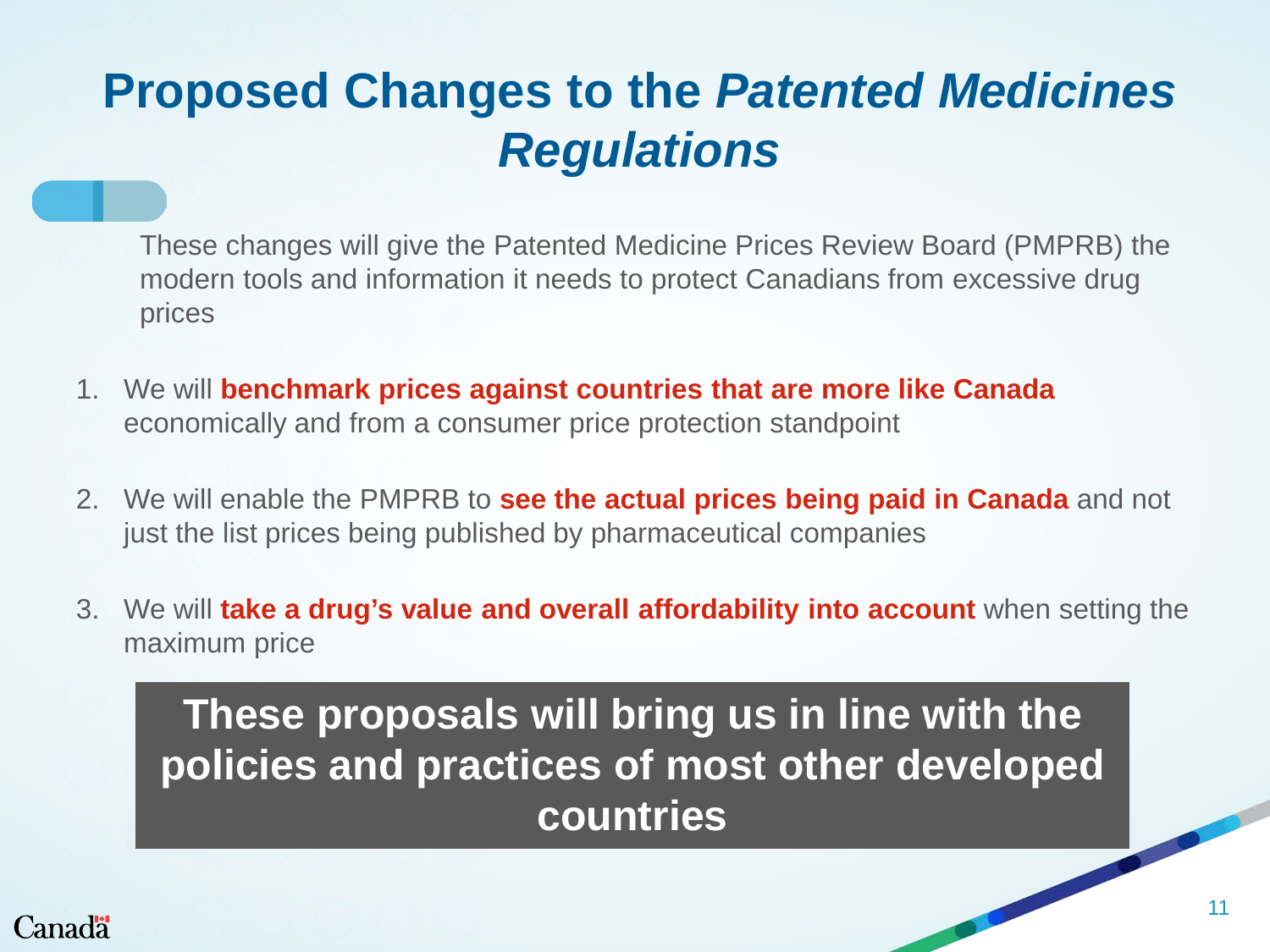### **Proposed Changes to the** *Patented Medicines Regulations*

These changes will give the Patented Medicine Prices Review Board (PMPRB) the modern tools and information it needs to protect Canadians from excessive drug prices

- 1. We will **benchmark prices against countries that are more like Canada**  economically and from a consumer price protection standpoint
- 2. We will enable the PMPRB to **see the actual prices being paid in Canada** and not just the list prices being published by pharmaceutical companies
- 3. We will **take a drug's value and overall affordability into account** when setting the maximum price

**These proposals will bring us in line with the policies and practices of most other developed countries**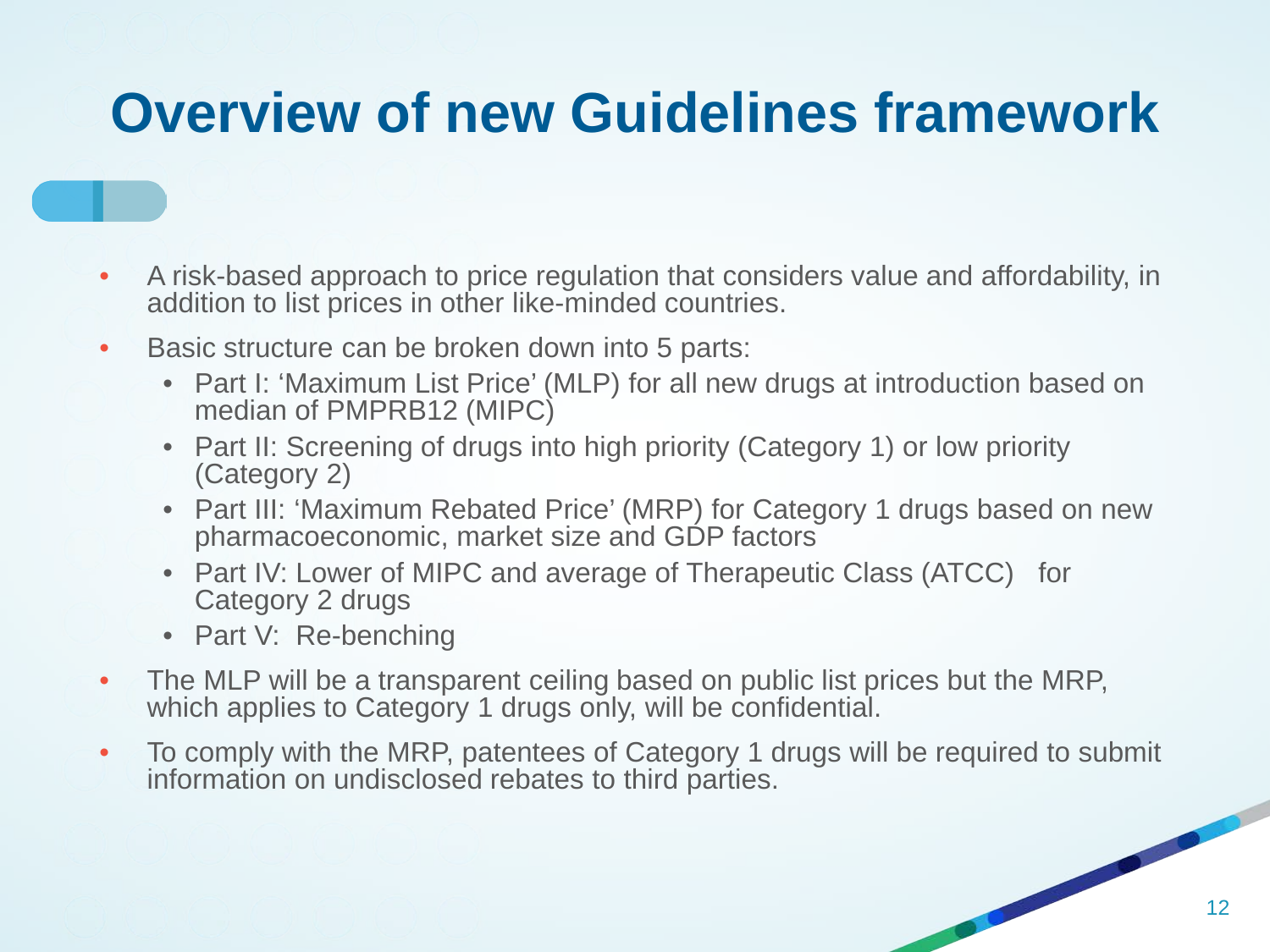# **Overview of new Guidelines framework**

- A risk-based approach to price regulation that considers value and affordability, in addition to list prices in other like-minded countries.
- Basic structure can be broken down into 5 parts:
	- Part I: 'Maximum List Price' (MLP) for all new drugs at introduction based on median of PMPRB12 (MIPC)
	- Part II: Screening of drugs into high priority (Category 1) or low priority (Category 2)
	- Part III: 'Maximum Rebated Price' (MRP) for Category 1 drugs based on new pharmacoeconomic, market size and GDP factors
	- Part IV: Lower of MIPC and average of Therapeutic Class (ATCC) for Category 2 drugs
	- Part V: Re-benching
- The MLP will be a transparent ceiling based on public list prices but the MRP, which applies to Category 1 drugs only, will be confidential.
- To comply with the MRP, patentees of Category 1 drugs will be required to submit information on undisclosed rebates to third parties.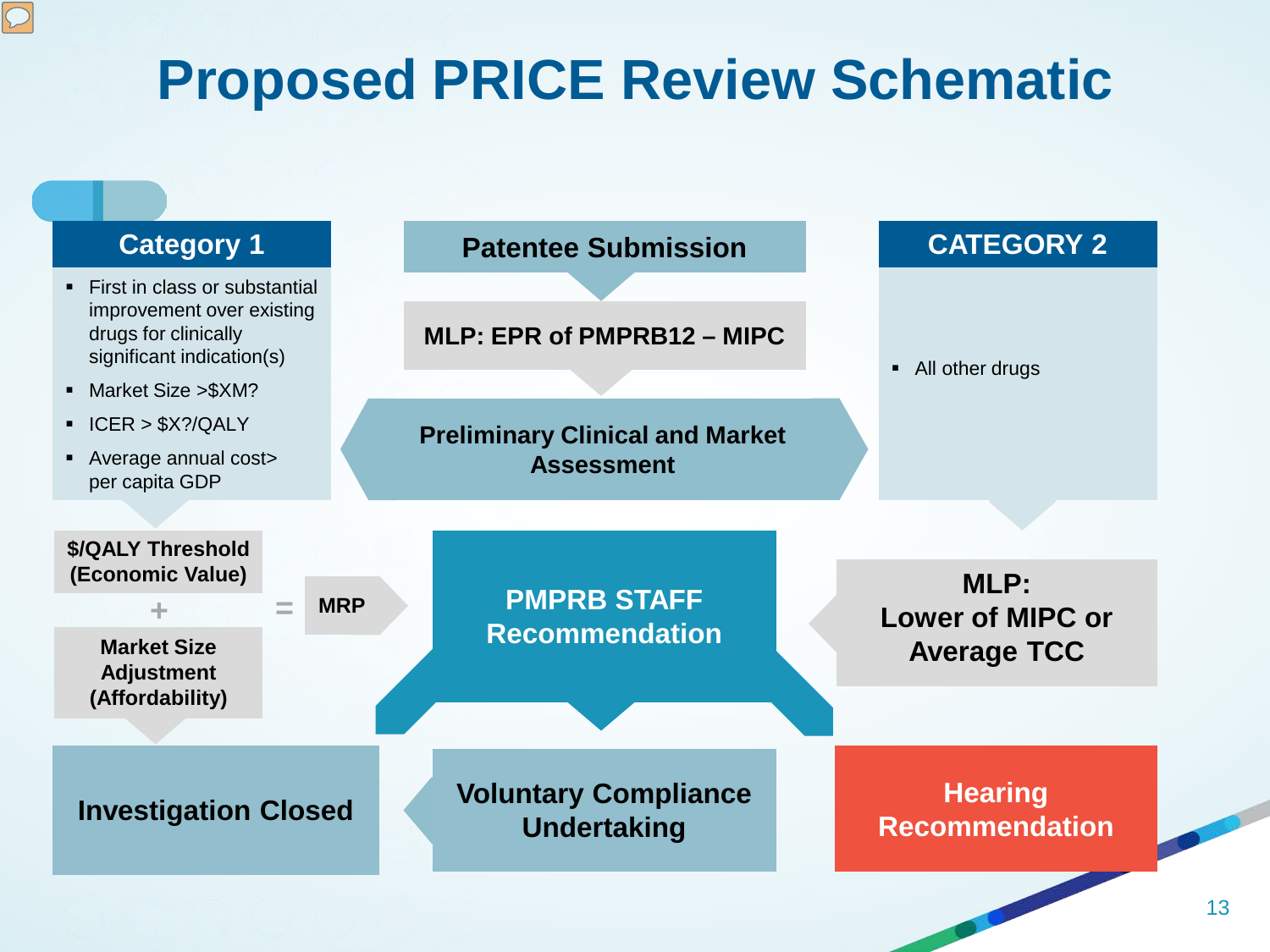# **Proposed PRICE Review Schematic**

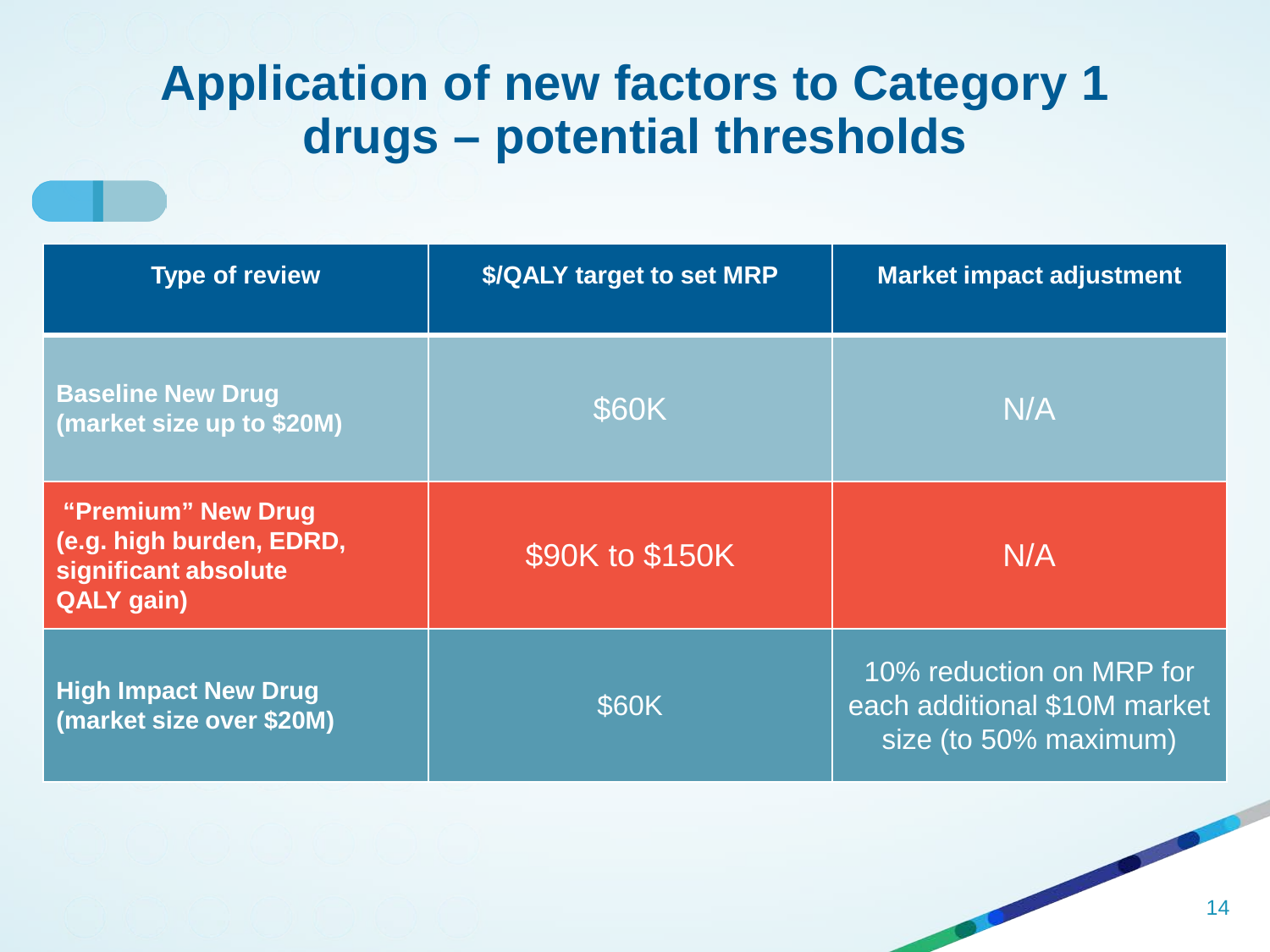### **Application of new factors to Category 1 drugs – potential thresholds**

| <b>Type of review</b>                                                                | \$/QALY target to set MRP | <b>Market impact adjustment</b>                                                   |  |
|--------------------------------------------------------------------------------------|---------------------------|-----------------------------------------------------------------------------------|--|
| <b>Baseline New Drug</b><br>(market size up to \$20M)                                | \$60K                     | N/A                                                                               |  |
| "Premium" New Drug<br>(e.g. high burden, EDRD,<br>significant absolute<br>QALY gain) | \$90K to \$150K           | N/A                                                                               |  |
| <b>High Impact New Drug</b><br>(market size over \$20M)                              | \$60K                     | 10% reduction on MRP for<br>each additional \$10M market<br>size (to 50% maximum) |  |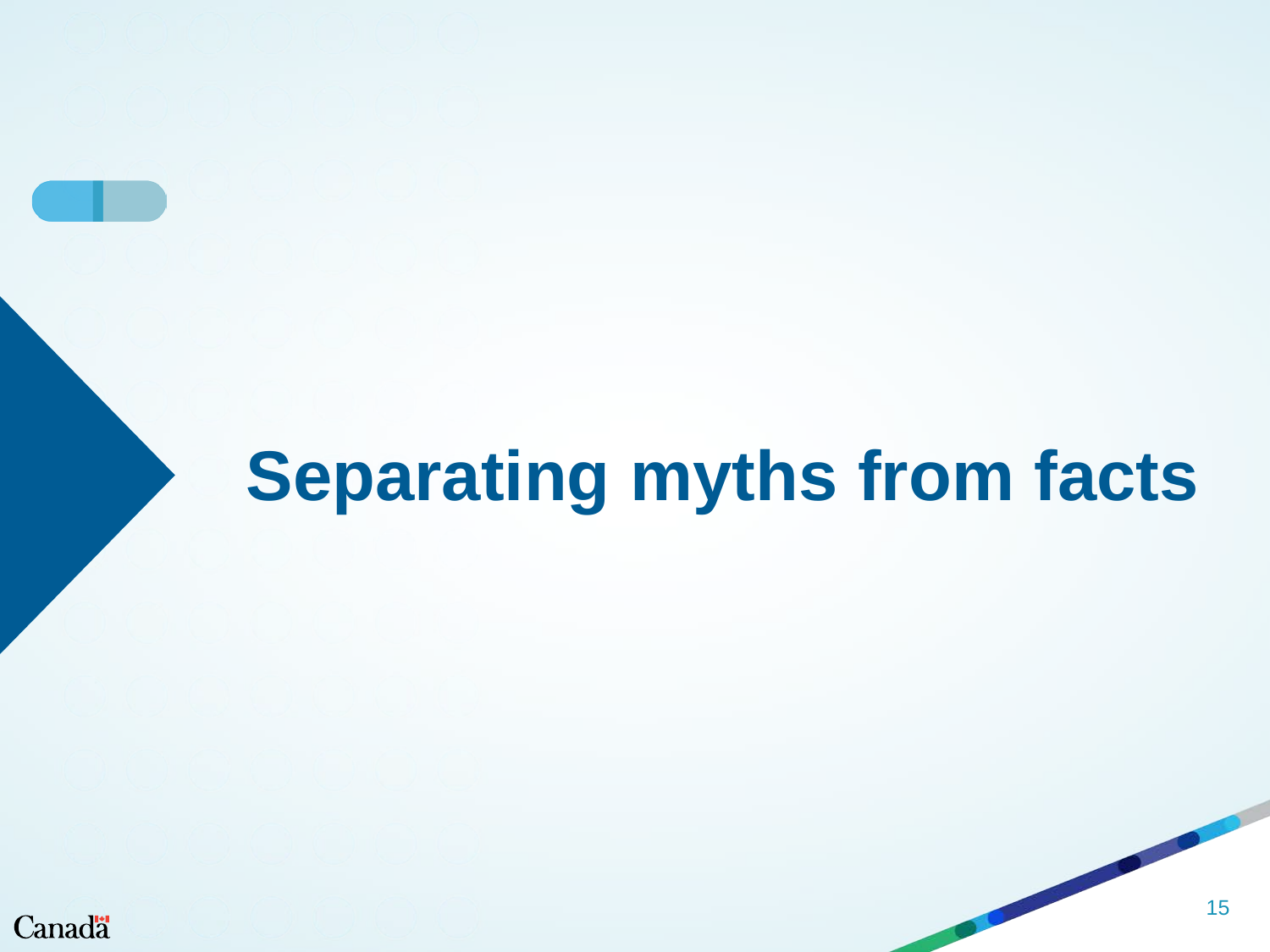# **Separating myths from facts**

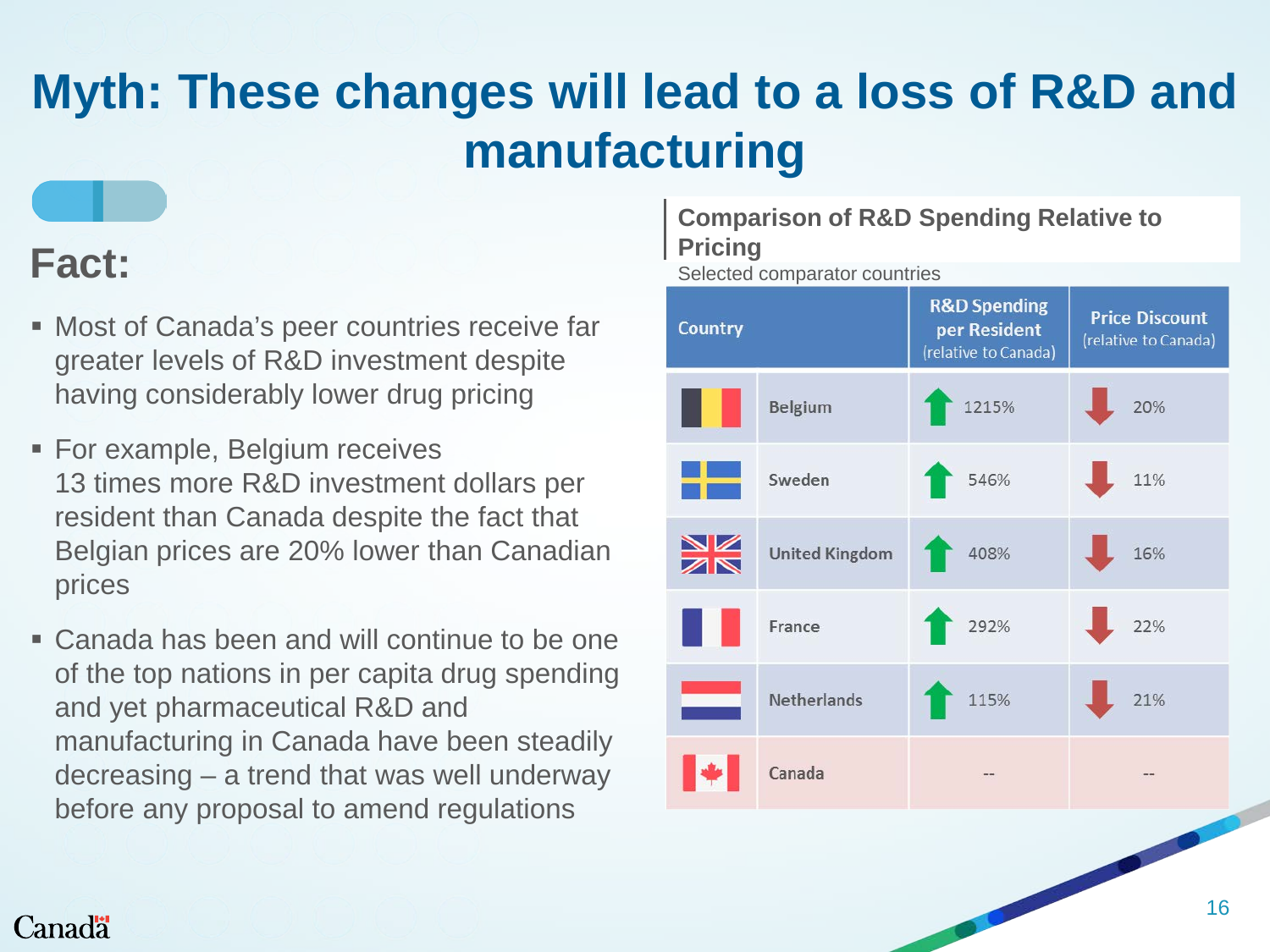# **Myth: These changes will lead to a loss of R&D and manufacturing**

- Most of Canada's peer countries receive far greater levels of R&D investment despite having considerably lower drug pricing
- **For example, Belgium receives** 13 times more R&D investment dollars per resident than Canada despite the fact that Belgian prices are 20% lower than Canadian prices
- Canada has been and will continue to be one of the top nations in per capita drug spending and yet pharmaceutical R&D and manufacturing in Canada have been steadily decreasing – a trend that was well underway before any proposal to amend regulations

## **Comparison of R&D Spending Relative to**

**Fact:** Pricing Pricing Pricing Pricing Selected comparator countries

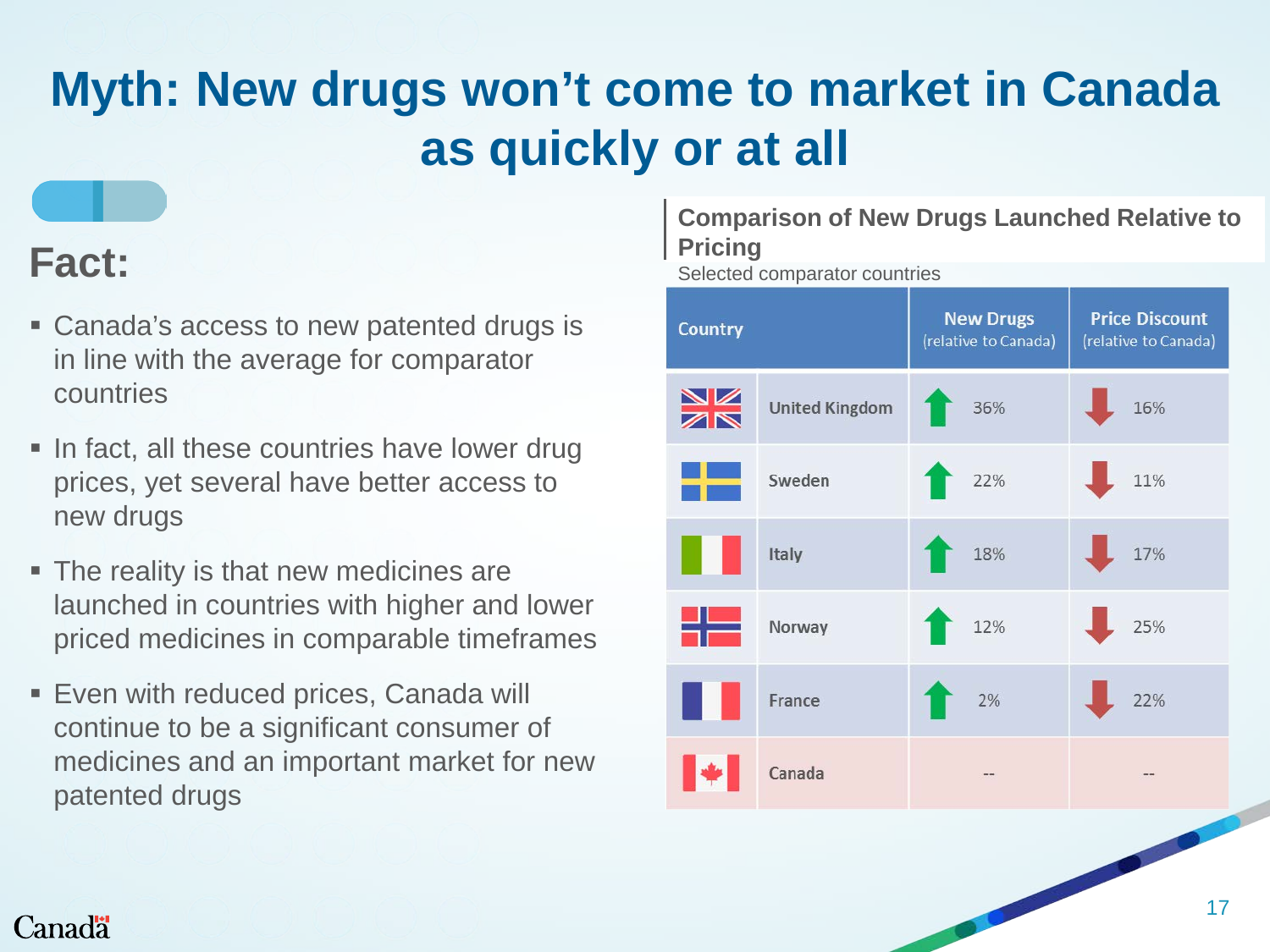# **Myth: New drugs won't come to market in Canada as quickly or at all**

### **Fact:**

- Canada's access to new patented drugs is in line with the average for comparator countries
- In fact, all these countries have lower drug prices, yet several have better access to new drugs
- The reality is that new medicines are launched in countries with higher and lower priced medicines in comparable timeframes
- **Even with reduced prices, Canada will** continue to be a significant consumer of medicines and an important market for new patented drugs

#### **Comparison of New Drugs Launched Relative to Pricing**

Selected comparator countries

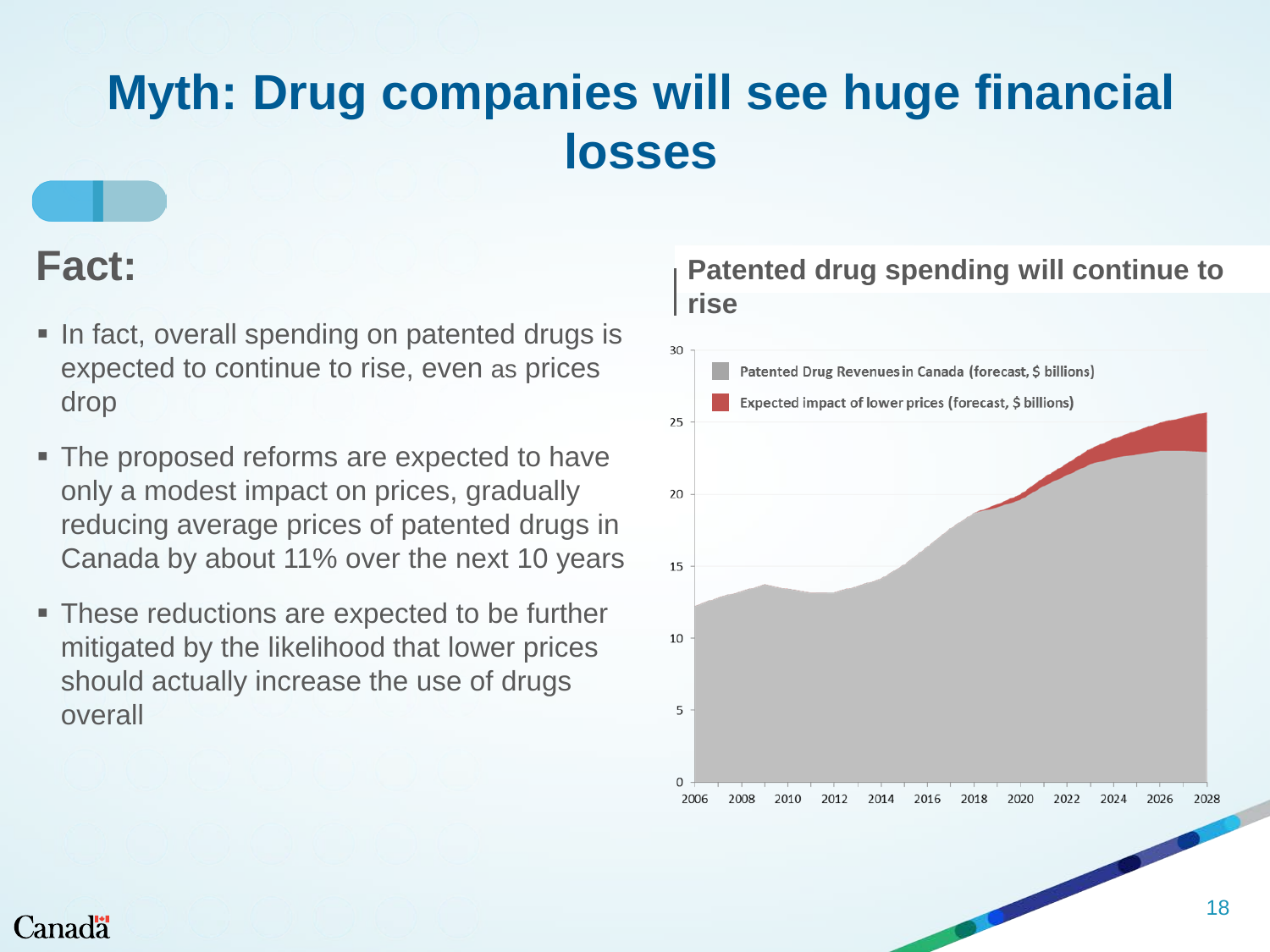### **Myth: Drug companies will see huge financial losses**

### **Fact:**

- In fact, overall spending on patented drugs is expected to continue to rise, even as prices drop
- The proposed reforms are expected to have only a modest impact on prices, gradually reducing average prices of patented drugs in Canada by about 11% over the next 10 years
- **These reductions are expected to be further** mitigated by the likelihood that lower prices should actually increase the use of drugs overall

#### **Patented drug spending will continue to rise**

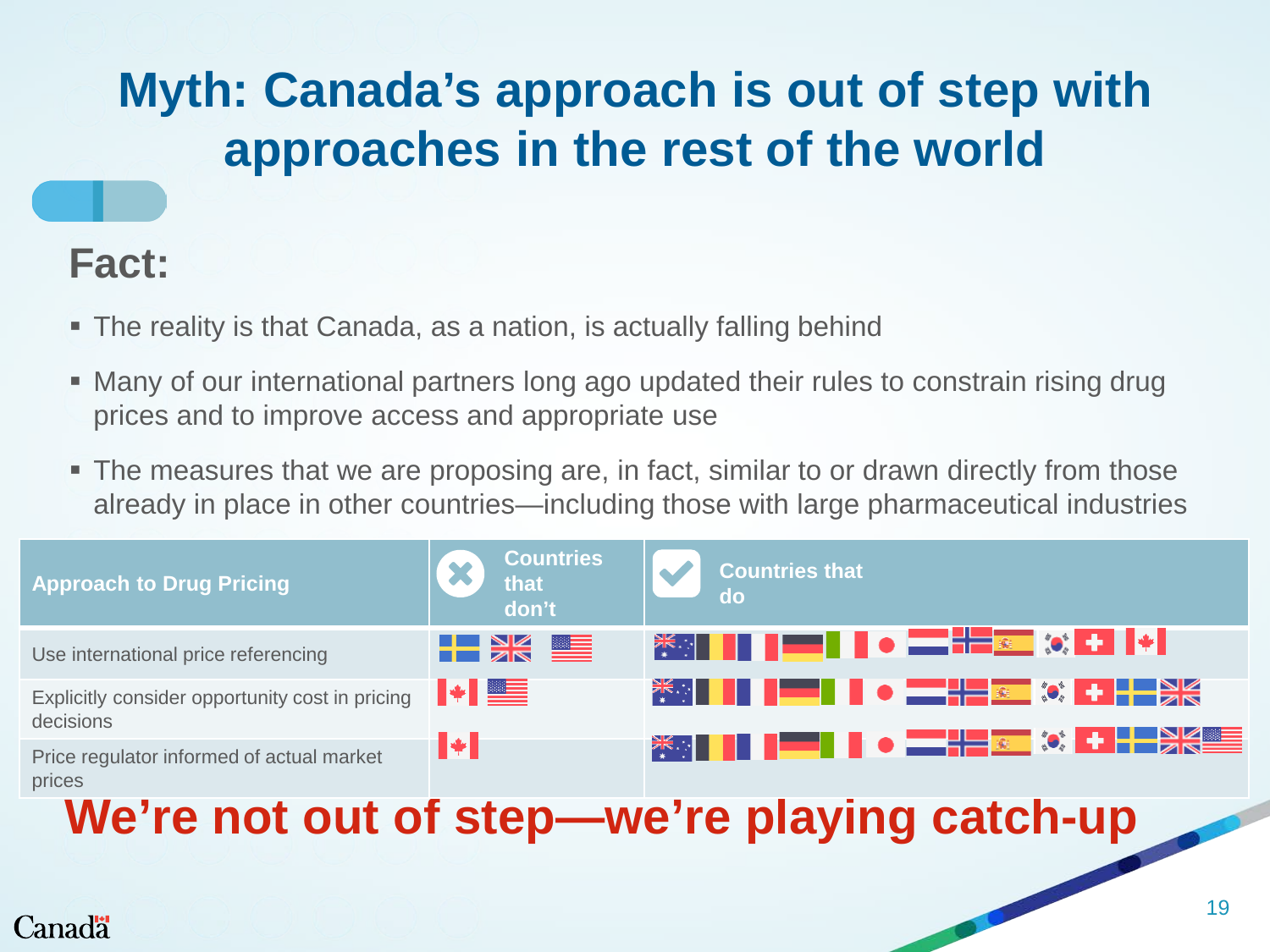# **Myth: Canada's approach is out of step with approaches in the rest of the world**

### **Fact:**

- The reality is that Canada, as a nation, is actually falling behind
- Many of our international partners long ago updated their rules to constrain rising drug prices and to improve access and appropriate use
- The measures that we are proposing are, in fact, similar to or drawn directly from those already in place in other countries—including those with large pharmaceutical industries

| <b>Approach to Drug Pricing</b>                              | <b>Countries</b><br>that<br>don't    | <b>Countries that</b>                                                                                                                                                                                                                                                                                               |  |  |
|--------------------------------------------------------------|--------------------------------------|---------------------------------------------------------------------------------------------------------------------------------------------------------------------------------------------------------------------------------------------------------------------------------------------------------------------|--|--|
| Use international price referencing                          | H X E                                | ※ <mark>※</mark> ┃▌ ┃━━┃ ┃ ● ━━ <sup>╋━</sup> ∞  ◇ <del>L</del> ┃◆┃                                                                                                                                                                                                                                                 |  |  |
| Explicitly consider opportunity cost in pricing<br>decisions | $\blacktriangleright$ $\blacksquare$ | $\frac{1}{2}$ $\frac{1}{2}$ $\frac{1}{2}$ $\frac{1}{2}$ $\frac{1}{2}$ $\frac{1}{2}$ $\frac{1}{2}$ $\frac{1}{2}$ $\frac{1}{2}$ $\frac{1}{2}$ $\frac{1}{2}$ $\frac{1}{2}$ $\frac{1}{2}$ $\frac{1}{2}$ $\frac{1}{2}$ $\frac{1}{2}$ $\frac{1}{2}$ $\frac{1}{2}$ $\frac{1}{2}$ $\frac{1}{2}$ $\frac{1}{2}$ $\frac{1}{2}$ |  |  |
| Price regulator informed of actual market<br>prices          | 10                                   | ▓░▏▌▌▐▆▀▌▌●▗ <del>▀▐▅</del> ▗▆▎▓▐▕▗▅▓▓▆▊                                                                                                                                                                                                                                                                            |  |  |
| We're not out of step-we're playing catch-up<br>19           |                                      |                                                                                                                                                                                                                                                                                                                     |  |  |